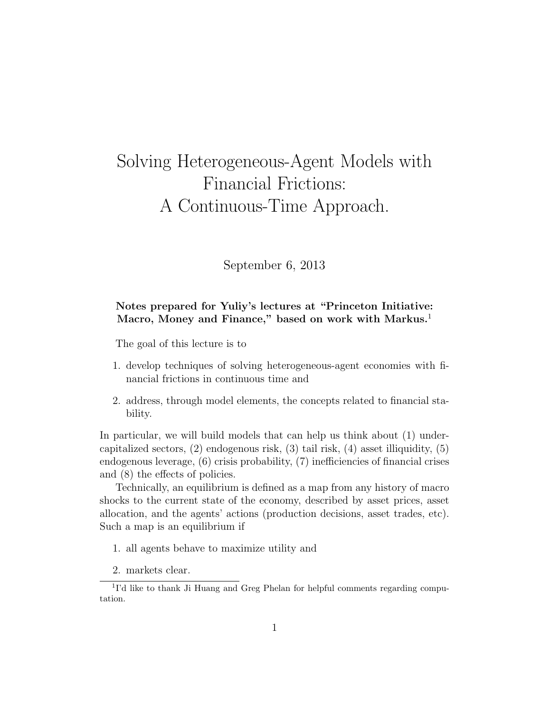# Solving Heterogeneous-Agent Models with Financial Frictions: A Continuous-Time Approach.

September 6, 2013

## Notes prepared for Yuliy's lectures at "Princeton Initiative: Macro, Money and Finance," based on work with Markus.<sup>1</sup>

The goal of this lecture is to

- 1. develop techniques of solving heterogeneous-agent economies with financial frictions in continuous time and
- 2. address, through model elements, the concepts related to financial stability.

In particular, we will build models that can help us think about (1) undercapitalized sectors, (2) endogenous risk, (3) tail risk, (4) asset illiquidity, (5) endogenous leverage, (6) crisis probability, (7) inefficiencies of financial crises and (8) the effects of policies.

Technically, an equilibrium is defined as a map from any history of macro shocks to the current state of the economy, described by asset prices, asset allocation, and the agents' actions (production decisions, asset trades, etc). Such a map is an equilibrium if

- 1. all agents behave to maximize utility and
- 2. markets clear.

<sup>&</sup>lt;sup>1</sup>I'd like to thank Ji Huang and Greg Phelan for helpful comments regarding computation.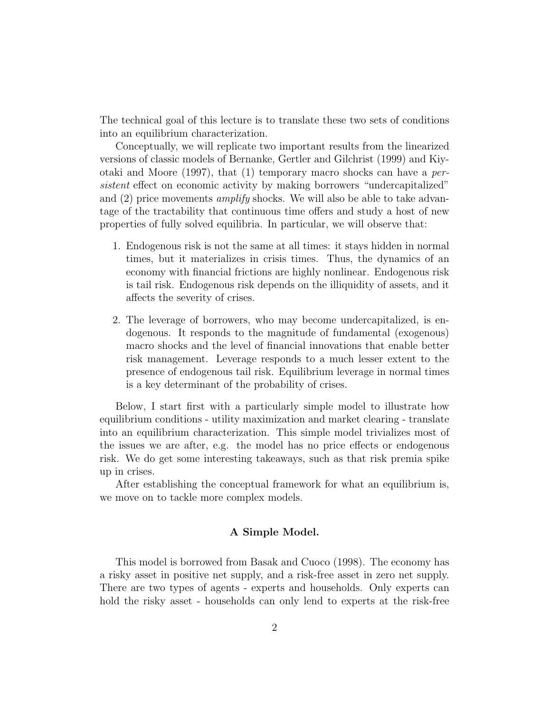The technical goal of this lecture is to translate these two sets of conditions into an equilibrium characterization.

Conceptually, we will replicate two important results from the linearized versions of classic models of Bernanke, Gertler and Gilchrist (1999) and Kiyotaki and Moore  $(1997)$ , that  $(1)$  temporary macro shocks can have a *per*sistent effect on economic activity by making borrowers "undercapitalized" and  $(2)$  price movements *amplify* shocks. We will also be able to take advantage of the tractability that continuous time offers and study a host of new properties of fully solved equilibria. In particular, we will observe that:

- 1. Endogenous risk is not the same at all times: it stays hidden in normal times, but it materializes in crisis times. Thus, the dynamics of an economy with financial frictions are highly nonlinear. Endogenous risk is tail risk. Endogenous risk depends on the illiquidity of assets, and it affects the severity of crises.
- 2. The leverage of borrowers, who may become undercapitalized, is endogenous. It responds to the magnitude of fundamental (exogenous) macro shocks and the level of financial innovations that enable better risk management. Leverage responds to a much lesser extent to the presence of endogenous tail risk. Equilibrium leverage in normal times is a key determinant of the probability of crises.

Below, I start first with a particularly simple model to illustrate how equilibrium conditions - utility maximization and market clearing - translate into an equilibrium characterization. This simple model trivializes most of the issues we are after, e.g. the model has no price effects or endogenous risk. We do get some interesting takeaways, such as that risk premia spike up in crises.

After establishing the conceptual framework for what an equilibrium is, we move on to tackle more complex models.

## A Simple Model.

This model is borrowed from Basak and Cuoco (1998). The economy has a risky asset in positive net supply, and a risk-free asset in zero net supply. There are two types of agents - experts and households. Only experts can hold the risky asset - households can only lend to experts at the risk-free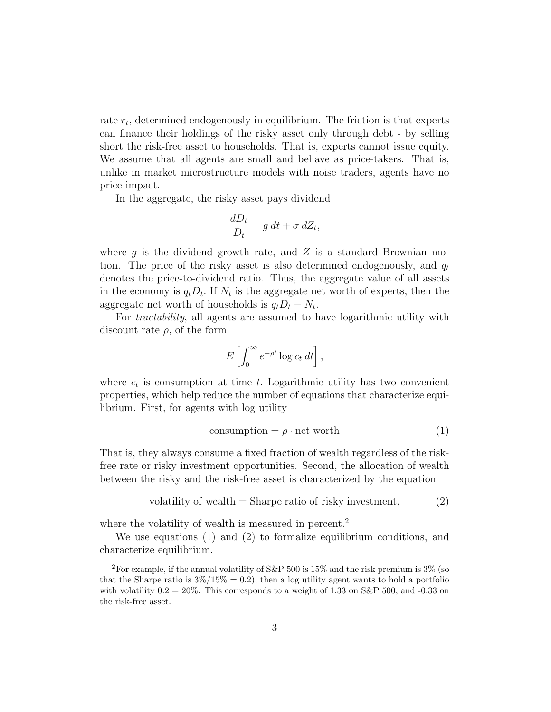rate  $r_t$ , determined endogenously in equilibrium. The friction is that experts can finance their holdings of the risky asset only through debt - by selling short the risk-free asset to households. That is, experts cannot issue equity. We assume that all agents are small and behave as price-takers. That is, unlike in market microstructure models with noise traders, agents have no price impact.

In the aggregate, the risky asset pays dividend

$$
\frac{dD_t}{D_t} = g \, dt + \sigma \, dZ_t,
$$

where  $q$  is the dividend growth rate, and  $Z$  is a standard Brownian motion. The price of the risky asset is also determined endogenously, and  $q_t$ denotes the price-to-dividend ratio. Thus, the aggregate value of all assets in the economy is  $q_t D_t$ . If  $N_t$  is the aggregate net worth of experts, then the aggregate net worth of households is  $q_t D_t - N_t$ .

For tractability, all agents are assumed to have logarithmic utility with discount rate  $\rho$ , of the form

$$
E\left[\int_0^\infty e^{-\rho t} \log c_t \, dt\right],
$$

where  $c_t$  is consumption at time t. Logarithmic utility has two convenient properties, which help reduce the number of equations that characterize equilibrium. First, for agents with log utility

$$
consumption = \rho \cdot net worth \tag{1}
$$

That is, they always consume a fixed fraction of wealth regardless of the riskfree rate or risky investment opportunities. Second, the allocation of wealth between the risky and the risk-free asset is characterized by the equation

volatility of wealth = Sharpe ratio of risky investment, 
$$
(2)
$$

where the volatility of wealth is measured in percent.<sup>2</sup>

We use equations (1) and (2) to formalize equilibrium conditions, and characterize equilibrium.

<sup>&</sup>lt;sup>2</sup>For example, if the annual volatility of S&P 500 is 15% and the risk premium is 3% (so that the Sharpe ratio is  $3\%/15\% = 0.2$ , then a log utility agent wants to hold a portfolio with volatility  $0.2 = 20\%$ . This corresponds to a weight of 1.33 on S&P 500, and -0.33 on the risk-free asset.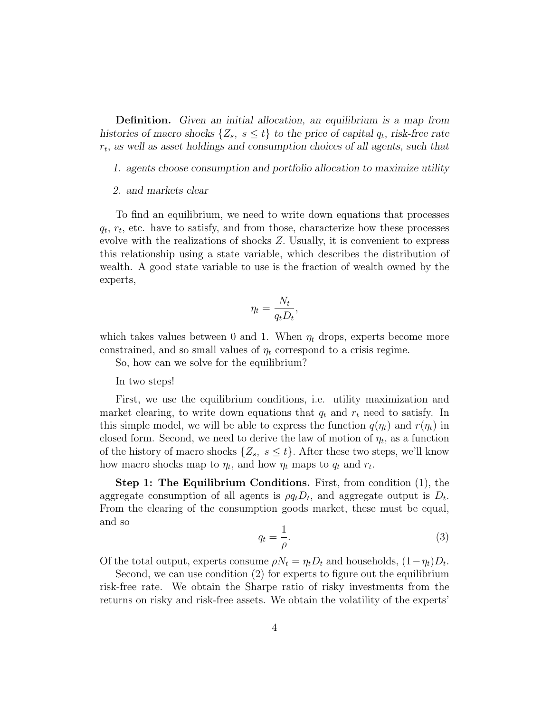Definition. Given an initial allocation, an equilibrium is a map from histories of macro shocks  $\{Z_s, s \leq t\}$  to the price of capital  $q_t$ , risk-free rate  $r_t$ , as well as asset holdings and consumption choices of all agents, such that

- 1. agents choose consumption and portfolio allocation to maximize utility
- 2. and markets clear

To find an equilibrium, we need to write down equations that processes  $q_t$ ,  $r_t$ , etc. have to satisfy, and from those, characterize how these processes evolve with the realizations of shocks Z. Usually, it is convenient to express this relationship using a state variable, which describes the distribution of wealth. A good state variable to use is the fraction of wealth owned by the experts,

$$
\eta_t = \frac{N_t}{q_t D_t},
$$

which takes values between 0 and 1. When  $\eta_t$  drops, experts become more constrained, and so small values of  $\eta_t$  correspond to a crisis regime.

So, how can we solve for the equilibrium?

In two steps!

First, we use the equilibrium conditions, i.e. utility maximization and market clearing, to write down equations that  $q_t$  and  $r_t$  need to satisfy. In this simple model, we will be able to express the function  $q(\eta_t)$  and  $r(\eta_t)$  in closed form. Second, we need to derive the law of motion of  $\eta_t$ , as a function of the history of macro shocks  $\{Z_s, s \leq t\}$ . After these two steps, we'll know how macro shocks map to  $\eta_t$ , and how  $\eta_t$  maps to  $q_t$  and  $r_t$ .

Step 1: The Equilibrium Conditions. First, from condition (1), the aggregate consumption of all agents is  $\rho q_t D_t$ , and aggregate output is  $D_t$ . From the clearing of the consumption goods market, these must be equal, and so

$$
q_t = \frac{1}{\rho}.\tag{3}
$$

Of the total output, experts consume  $\rho N_t = \eta_t D_t$  and households,  $(1 - \eta_t) D_t$ .

Second, we can use condition (2) for experts to figure out the equilibrium risk-free rate. We obtain the Sharpe ratio of risky investments from the returns on risky and risk-free assets. We obtain the volatility of the experts'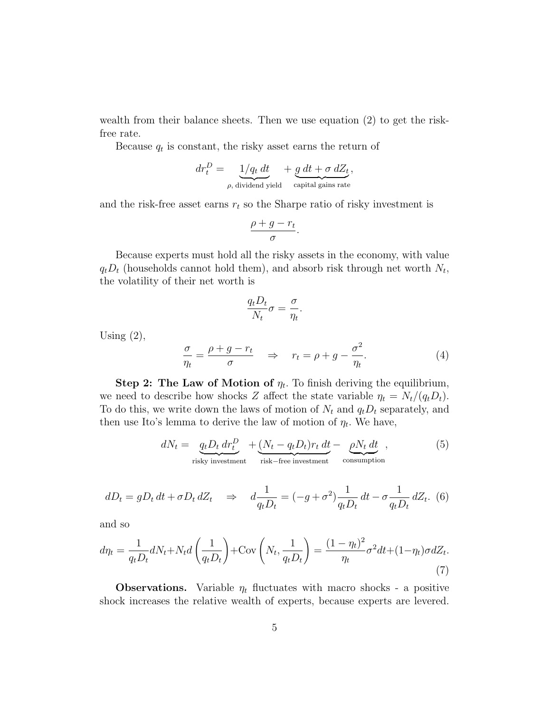wealth from their balance sheets. Then we use equation (2) to get the riskfree rate.

Because  $q_t$  is constant, the risky asset earns the return of

$$
dr_t^D = \underbrace{1/q_t \, dt}_{\rho, \text{ dividend yield}} + \underbrace{g \, dt + \sigma \, dZ_t}_{\text{capital gains rate}},
$$

and the risk-free asset earns  $r_t$  so the Sharpe ratio of risky investment is

$$
\frac{\rho+g-r_t}{\sigma}.
$$

Because experts must hold all the risky assets in the economy, with value  $q_t D_t$  (households cannot hold them), and absorb risk through net worth  $N_t$ , the volatility of their net worth is

$$
\frac{q_t D_t}{N_t} \sigma = \frac{\sigma}{\eta_t}.
$$

Using  $(2)$ ,

$$
\frac{\sigma}{\eta_t} = \frac{\rho + g - r_t}{\sigma} \quad \Rightarrow \quad r_t = \rho + g - \frac{\sigma^2}{\eta_t}.\tag{4}
$$

Step 2: The Law of Motion of  $\eta_t$ . To finish deriving the equilibrium, we need to describe how shocks Z affect the state variable  $\eta_t = N_t/(q_t D_t)$ . To do this, we write down the laws of motion of  $N_t$  and  $q_tD_t$  separately, and then use Ito's lemma to derive the law of motion of  $\eta_t$ . We have,

$$
dN_t = \underbrace{q_t D_t dr_t^D}_{\text{risky investment}} + \underbrace{(N_t - q_t D_t) r_t dt}_{\text{risk-free investment}} - \underbrace{\rho N_t dt}_{\text{consumption}}, \tag{5}
$$

$$
dD_t = gD_t dt + \sigma D_t dZ_t \quad \Rightarrow \quad d\frac{1}{q_t D_t} = (-g + \sigma^2) \frac{1}{q_t D_t} dt - \sigma \frac{1}{q_t D_t} dZ_t. \tag{6}
$$

and so

$$
d\eta_t = \frac{1}{q_t D_t} dN_t + N_t d\left(\frac{1}{q_t D_t}\right) + \text{Cov}\left(N_t, \frac{1}{q_t D_t}\right) = \frac{(1 - \eta_t)^2}{\eta_t} \sigma^2 dt + (1 - \eta_t) \sigma dZ_t.
$$
\n(7)

**Observations.** Variable  $\eta_t$  fluctuates with macro shocks - a positive shock increases the relative wealth of experts, because experts are levered.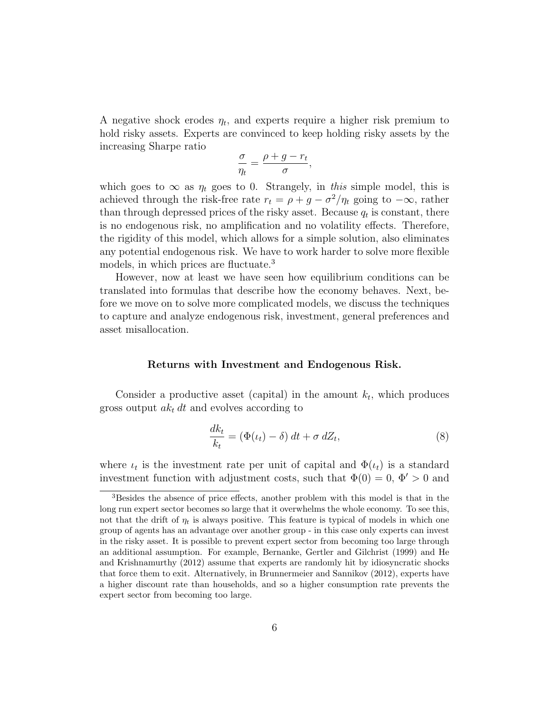A negative shock erodes  $\eta_t$ , and experts require a higher risk premium to hold risky assets. Experts are convinced to keep holding risky assets by the increasing Sharpe ratio

$$
\frac{\sigma}{\eta_t} = \frac{\rho + g - r_t}{\sigma},
$$

which goes to  $\infty$  as  $\eta_t$  goes to 0. Strangely, in this simple model, this is achieved through the risk-free rate  $r_t = \rho + g - \sigma^2/\eta_t$  going to  $-\infty$ , rather than through depressed prices of the risky asset. Because  $q_t$  is constant, there is no endogenous risk, no amplification and no volatility effects. Therefore, the rigidity of this model, which allows for a simple solution, also eliminates any potential endogenous risk. We have to work harder to solve more flexible models, in which prices are fluctuate.<sup>3</sup>

However, now at least we have seen how equilibrium conditions can be translated into formulas that describe how the economy behaves. Next, before we move on to solve more complicated models, we discuss the techniques to capture and analyze endogenous risk, investment, general preferences and asset misallocation.

#### Returns with Investment and Endogenous Risk.

Consider a productive asset (capital) in the amount  $k_t$ , which produces gross output  $ak_t dt$  and evolves according to

$$
\frac{dk_t}{k_t} = (\Phi(\iota_t) - \delta) dt + \sigma dZ_t,
$$
\n(8)

where  $\iota_t$  is the investment rate per unit of capital and  $\Phi(\iota_t)$  is a standard investment function with adjustment costs, such that  $\Phi(0) = 0, \Phi' > 0$  and

<sup>&</sup>lt;sup>3</sup>Besides the absence of price effects, another problem with this model is that in the long run expert sector becomes so large that it overwhelms the whole economy. To see this, not that the drift of  $\eta_t$  is always positive. This feature is typical of models in which one group of agents has an advantage over another group - in this case only experts can invest in the risky asset. It is possible to prevent expert sector from becoming too large through an additional assumption. For example, Bernanke, Gertler and Gilchrist (1999) and He and Krishnamurthy (2012) assume that experts are randomly hit by idiosyncratic shocks that force them to exit. Alternatively, in Brunnermeier and Sannikov (2012), experts have a higher discount rate than households, and so a higher consumption rate prevents the expert sector from becoming too large.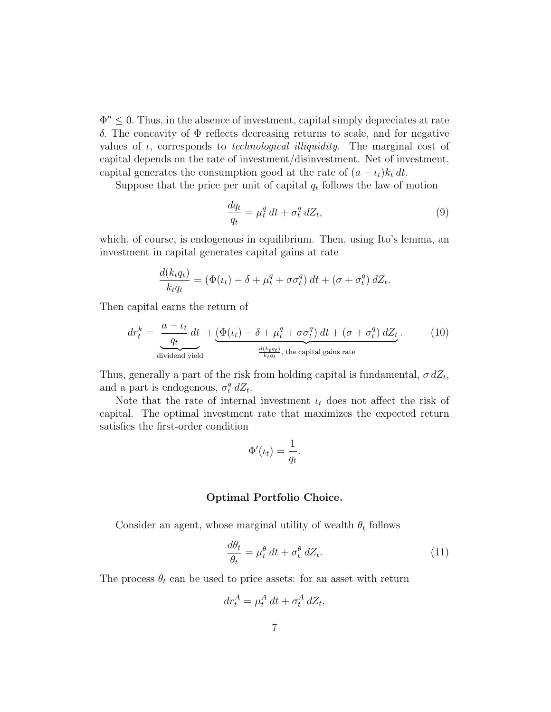$\Phi'' \leq 0$ . Thus, in the absence of investment, capital simply depreciates at rate δ. The concavity of Φ reflects decreasing returns to scale, and for negative values of  $\iota$ , corresponds to *technological illiquidity*. The marginal cost of capital depends on the rate of investment/disinvestment. Net of investment, capital generates the consumption good at the rate of  $(a - \iota_t)k_t dt$ .

Suppose that the price per unit of capital  $q_t$  follows the law of motion

$$
\frac{dq_t}{q_t} = \mu_t^q \, dt + \sigma_t^q \, dZ_t,\tag{9}
$$

which, of course, is endogenous in equilibrium. Then, using Ito's lemma, an investment in capital generates capital gains at rate

$$
\frac{d(k_t q_t)}{k_t q_t} = \left(\Phi(t_t) - \delta + \mu_t^q + \sigma \sigma_t^q\right) dt + \left(\sigma + \sigma_t^q\right) dZ_t.
$$

Then capital earns the return of

$$
dr_t^k = \underbrace{\frac{a - \iota_t}{q_t} dt}_{\text{dividend yield}} + \underbrace{(\Phi(\iota_t) - \delta + \mu_t^q + \sigma \sigma_t^q) dt + (\sigma + \sigma_t^q) dZ_t}_{\frac{d(k_t q_t)}{k_t q_t}, \text{ the capital gains rate}}.
$$
 (10)

Thus, generally a part of the risk from holding capital is fundamental,  $\sigma dZ_t$ , and a part is endogenous,  $\sigma_t^q dZ_t$ .

Note that the rate of internal investment  $u_t$  does not affect the risk of capital. The optimal investment rate that maximizes the expected return satisfies the first-order condition

$$
\Phi'(\iota_t) = \frac{1}{q_t}.
$$

#### Optimal Portfolio Choice.

Consider an agent, whose marginal utility of wealth  $\theta_t$  follows

$$
\frac{d\theta_t}{\theta_t} = \mu_t^{\theta} dt + \sigma_t^{\theta} dZ_t.
$$
 (11)

The process  $\theta_t$  can be used to price assets: for an asset with return

$$
dr_t^A = \mu_t^A dt + \sigma_t^A dZ_t,
$$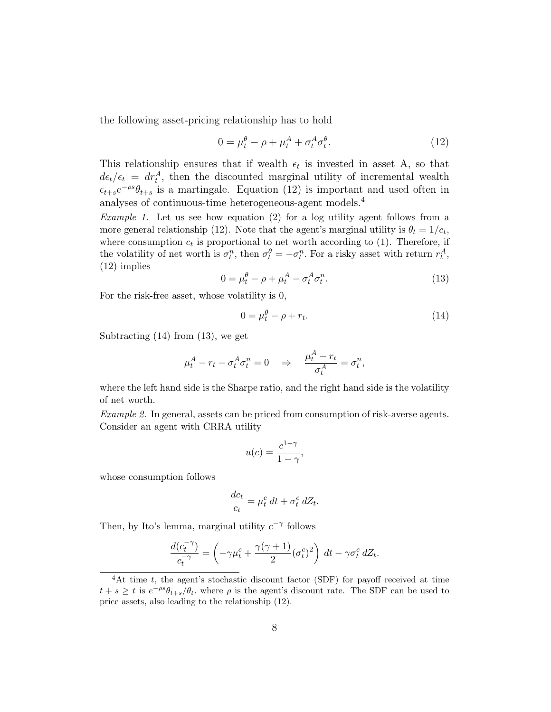the following asset-pricing relationship has to hold

$$
0 = \mu_t^{\theta} - \rho + \mu_t^A + \sigma_t^A \sigma_t^{\theta}.
$$
 (12)

This relationship ensures that if wealth  $\epsilon_t$  is invested in asset A, so that  $d\epsilon_t/\epsilon_t = dr_t^A$ , then the discounted marginal utility of incremental wealth  $\epsilon_{t+s}e^{-\rho s}\theta_{t+s}$  is a martingale. Equation (12) is important and used often in analyses of continuous-time heterogeneous-agent models.<sup>4</sup>

Example 1. Let us see how equation (2) for a log utility agent follows from a more general relationship (12). Note that the agent's marginal utility is  $\theta_t = 1/c_t$ , where consumption  $c_t$  is proportional to net worth according to (1). Therefore, if the volatility of net worth is  $\sigma_t^n$ , then  $\sigma_t^\theta = -\sigma_t^n$ . For a risky asset with return  $r_t^A$ , (12) implies

$$
0 = \mu_t^{\theta} - \rho + \mu_t^A - \sigma_t^A \sigma_t^n. \tag{13}
$$

For the risk-free asset, whose volatility is 0,

$$
0 = \mu_t^{\theta} - \rho + r_t. \tag{14}
$$

Subtracting (14) from (13), we get

$$
\mu_t^A - r_t - \sigma_t^A \sigma_t^n = 0 \quad \Rightarrow \quad \frac{\mu_t^A - r_t}{\sigma_t^A} = \sigma_t^n,
$$

where the left hand side is the Sharpe ratio, and the right hand side is the volatility of net worth.

Example 2. In general, assets can be priced from consumption of risk-averse agents. Consider an agent with CRRA utility

$$
u(c) = \frac{c^{1-\gamma}}{1-\gamma},
$$

whose consumption follows

$$
\frac{dc_t}{c_t} = \mu_t^c dt + \sigma_t^c dZ_t.
$$

Then, by Ito's lemma, marginal utility  $c^{-\gamma}$  follows

$$
\frac{d(c_t^{-\gamma})}{c_t^{-\gamma}} = \left(-\gamma\mu_t^c + \frac{\gamma(\gamma+1)}{2}(\sigma_t^c)^2\right) dt - \gamma\sigma_t^c dZ_t.
$$

 ${}^{4}$ At time t, the agent's stochastic discount factor (SDF) for payoff received at time  $t + s \geq t$  is  $e^{-\rho s}\theta_{t+s}/\theta_t$ , where  $\rho$  is the agent's discount rate. The SDF can be used to price assets, also leading to the relationship (12).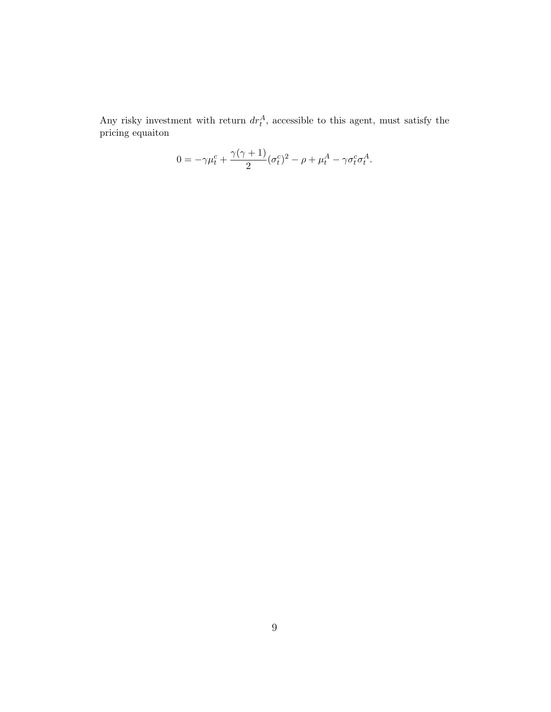Any risky investment with return  $dr_t^A$ , accessible to this agent, must satisfy the pricing equaiton

$$
0 = -\gamma \mu_t^c + \frac{\gamma(\gamma + 1)}{2} (\sigma_t^c)^2 - \rho + \mu_t^A - \gamma \sigma_t^c \sigma_t^A.
$$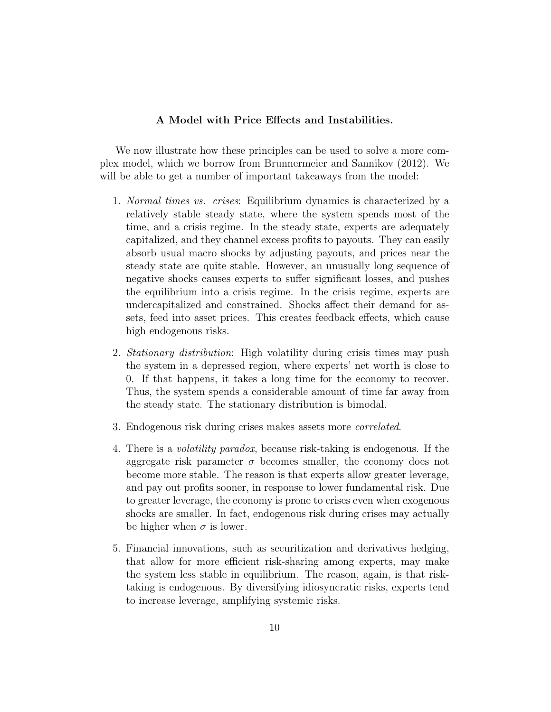## A Model with Price Effects and Instabilities.

We now illustrate how these principles can be used to solve a more complex model, which we borrow from Brunnermeier and Sannikov (2012). We will be able to get a number of important takeaways from the model:

- 1. Normal times vs. crises: Equilibrium dynamics is characterized by a relatively stable steady state, where the system spends most of the time, and a crisis regime. In the steady state, experts are adequately capitalized, and they channel excess profits to payouts. They can easily absorb usual macro shocks by adjusting payouts, and prices near the steady state are quite stable. However, an unusually long sequence of negative shocks causes experts to suffer significant losses, and pushes the equilibrium into a crisis regime. In the crisis regime, experts are undercapitalized and constrained. Shocks affect their demand for assets, feed into asset prices. This creates feedback effects, which cause high endogenous risks.
- 2. Stationary distribution: High volatility during crisis times may push the system in a depressed region, where experts' net worth is close to 0. If that happens, it takes a long time for the economy to recover. Thus, the system spends a considerable amount of time far away from the steady state. The stationary distribution is bimodal.
- 3. Endogenous risk during crises makes assets more correlated.
- 4. There is a volatility paradox, because risk-taking is endogenous. If the aggregate risk parameter  $\sigma$  becomes smaller, the economy does not become more stable. The reason is that experts allow greater leverage, and pay out profits sooner, in response to lower fundamental risk. Due to greater leverage, the economy is prone to crises even when exogenous shocks are smaller. In fact, endogenous risk during crises may actually be higher when  $\sigma$  is lower.
- 5. Financial innovations, such as securitization and derivatives hedging, that allow for more efficient risk-sharing among experts, may make the system less stable in equilibrium. The reason, again, is that risktaking is endogenous. By diversifying idiosyncratic risks, experts tend to increase leverage, amplifying systemic risks.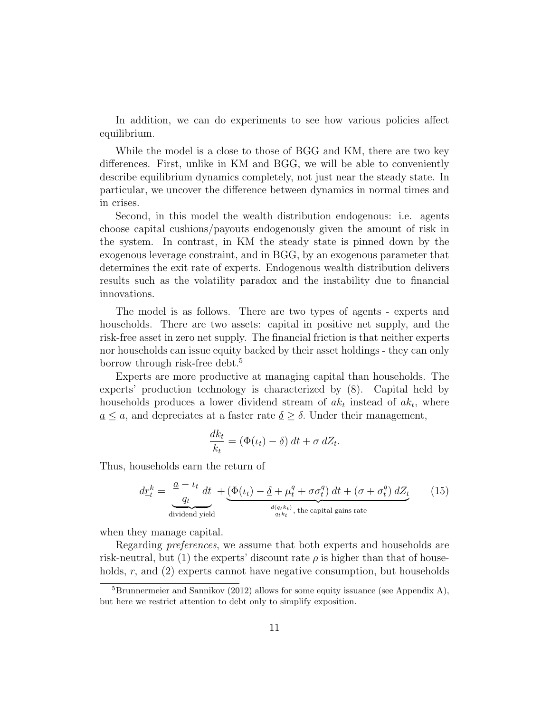In addition, we can do experiments to see how various policies affect equilibrium.

While the model is a close to those of BGG and KM, there are two key differences. First, unlike in KM and BGG, we will be able to conveniently describe equilibrium dynamics completely, not just near the steady state. In particular, we uncover the difference between dynamics in normal times and in crises.

Second, in this model the wealth distribution endogenous: i.e. agents choose capital cushions/payouts endogenously given the amount of risk in the system. In contrast, in KM the steady state is pinned down by the exogenous leverage constraint, and in BGG, by an exogenous parameter that determines the exit rate of experts. Endogenous wealth distribution delivers results such as the volatility paradox and the instability due to financial innovations.

The model is as follows. There are two types of agents - experts and households. There are two assets: capital in positive net supply, and the risk-free asset in zero net supply. The financial friction is that neither experts nor households can issue equity backed by their asset holdings - they can only borrow through risk-free debt.<sup>5</sup>

Experts are more productive at managing capital than households. The experts' production technology is characterized by (8). Capital held by households produces a lower dividend stream of  $\underline{a}k_t$  instead of  $ak_t$ , where  $a \leq a$ , and depreciates at a faster rate  $\delta \geq \delta$ . Under their management,

$$
\frac{dk_t}{k_t} = (\Phi(\iota_t) - \underline{\delta}) dt + \sigma dZ_t.
$$

Thus, households earn the return of

$$
d\underline{r}_t^k = \underbrace{\frac{a - \iota_t}{q_t}}_{\text{dividend yield}} dt + \underbrace{(\Phi(\iota_t) - \underline{\delta} + \mu_t^q + \sigma \sigma_t^q) dt + (\sigma + \sigma_t^q) dZ_t}_{\frac{d(q_t k_t)}{q_t k_t}, \text{ the capital gains rate}} \tag{15}
$$

when they manage capital.

Regarding *preferences*, we assume that both experts and households are risk-neutral, but (1) the experts' discount rate  $\rho$  is higher than that of households, r, and (2) experts cannot have negative consumption, but households

 ${}^{5}$ Brunnermeier and Sannikov (2012) allows for some equity issuance (see Appendix A), but here we restrict attention to debt only to simplify exposition.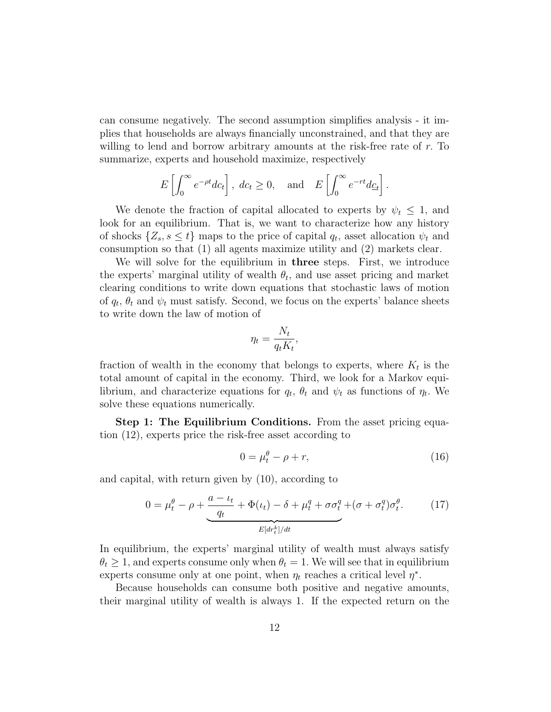can consume negatively. The second assumption simplifies analysis - it implies that households are always financially unconstrained, and that they are willing to lend and borrow arbitrary amounts at the risk-free rate of r. To summarize, experts and household maximize, respectively

$$
E\left[\int_0^\infty e^{-\rho t} d c_t\right], \ d c_t \ge 0, \text{ and } E\left[\int_0^\infty e^{-rt} d \underline{c}_t\right].
$$

We denote the fraction of capital allocated to experts by  $\psi_t \leq 1$ , and look for an equilibrium. That is, we want to characterize how any history of shocks  $\{Z_s, s \leq t\}$  maps to the price of capital  $q_t$ , asset allocation  $\psi_t$  and consumption so that (1) all agents maximize utility and (2) markets clear.

We will solve for the equilibrium in **three** steps. First, we introduce the experts' marginal utility of wealth  $\theta_t$ , and use asset pricing and market clearing conditions to write down equations that stochastic laws of motion of  $q_t$ ,  $\theta_t$  and  $\psi_t$  must satisfy. Second, we focus on the experts' balance sheets to write down the law of motion of

$$
\eta_t = \frac{N_t}{q_t K_t},
$$

fraction of wealth in the economy that belongs to experts, where  $K_t$  is the total amount of capital in the economy. Third, we look for a Markov equilibrium, and characterize equations for  $q_t$ ,  $\theta_t$  and  $\psi_t$  as functions of  $\eta_t$ . We solve these equations numerically.

Step 1: The Equilibrium Conditions. From the asset pricing equation (12), experts price the risk-free asset according to

$$
0 = \mu_t^{\theta} - \rho + r,\tag{16}
$$

and capital, with return given by (10), according to

$$
0 = \mu_t^{\theta} - \rho + \underbrace{\frac{a - \iota_t}{q_t} + \Phi(\iota_t) - \delta + \mu_t^q + \sigma \sigma_t^q + (\sigma + \sigma_t^q)\sigma_t^{\theta}}_{E[dr_t^k]/dt}.
$$
 (17)

In equilibrium, the experts' marginal utility of wealth must always satisfy  $\theta_t \geq 1$ , and experts consume only when  $\theta_t = 1$ . We will see that in equilibrium experts consume only at one point, when  $\eta_t$  reaches a critical level  $\eta^*$ .

Because households can consume both positive and negative amounts, their marginal utility of wealth is always 1. If the expected return on the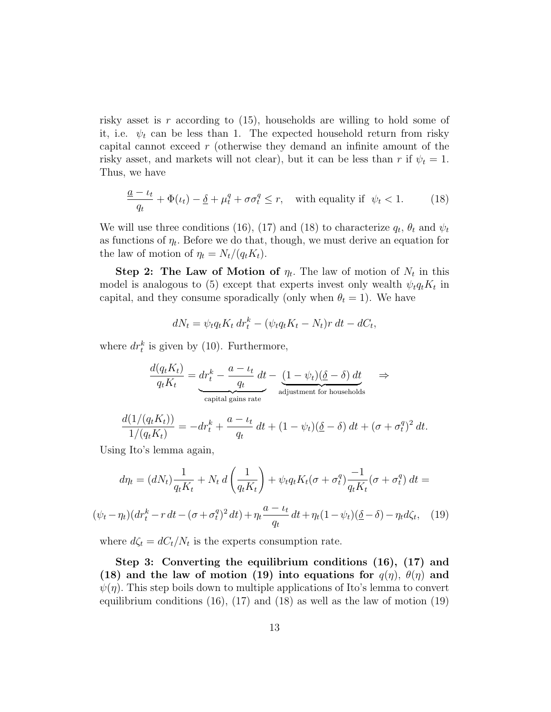risky asset is r according to  $(15)$ , households are willing to hold some of it, i.e.  $\psi_t$  can be less than 1. The expected household return from risky capital cannot exceed r (otherwise they demand an infinite amount of the risky asset, and markets will not clear), but it can be less than r if  $\psi_t = 1$ . Thus, we have

$$
\frac{a - \iota_t}{q_t} + \Phi(\iota_t) - \underline{\delta} + \mu_t^q + \sigma \sigma_t^q \le r, \quad \text{with equality if } \psi_t < 1. \tag{18}
$$

We will use three conditions (16), (17) and (18) to characterize  $q_t$ ,  $\theta_t$  and  $\psi_t$ as functions of  $\eta_t$ . Before we do that, though, we must derive an equation for the law of motion of  $\eta_t = N_t/(q_t K_t)$ .

Step 2: The Law of Motion of  $\eta_t$ . The law of motion of  $N_t$  in this model is analogous to (5) except that experts invest only wealth  $\psi_t q_t K_t$  in capital, and they consume sporadically (only when  $\theta_t = 1$ ). We have

$$
dN_t = \psi_t q_t K_t dr_t^k - (\psi_t q_t K_t - N_t) r dt - dC_t,
$$

where  $dr_t^k$  is given by (10). Furthermore,

$$
\frac{d(q_t K_t)}{q_t K_t} = \underbrace{dr_t^k - \frac{a - \iota_t}{q_t} dt}_{\text{capital gains rate}} - \underbrace{(1 - \psi_t)(\underline{\delta} - \delta) dt}_{\text{adjustment for households}} \Rightarrow
$$

$$
\frac{d(1/(q_t K_t))}{1/(q_t K_t)} = -dr_t^k + \frac{a - \iota_t}{q_t} dt + (1 - \psi_t)(\underline{\delta} - \delta) dt + (\sigma + \sigma_t^q)^2 dt.
$$

Using Ito's lemma again,

$$
d\eta_t = (dN_t)\frac{1}{q_t K_t} + N_t d\left(\frac{1}{q_t K_t}\right) + \psi_t q_t K_t (\sigma + \sigma_t^q) \frac{-1}{q_t K_t} (\sigma + \sigma_t^q) dt =
$$
  

$$
(\psi_t - \eta_t)(dr_t^k - r dt - (\sigma + \sigma_t^q)^2 dt) + \eta_t \frac{a - \iota_t}{q_t} dt + \eta_t (1 - \psi_t)(\underline{\delta} - \delta) - \eta_t d\zeta_t, \quad (19)
$$

where  $d\zeta_t = dC_t/N_t$  is the experts consumption rate.

Step 3: Converting the equilibrium conditions (16), (17) and (18) and the law of motion (19) into equations for  $q(\eta)$ ,  $\theta(\eta)$  and  $\psi(\eta)$ . This step boils down to multiple applications of Ito's lemma to convert equilibrium conditions  $(16)$ ,  $(17)$  and  $(18)$  as well as the law of motion  $(19)$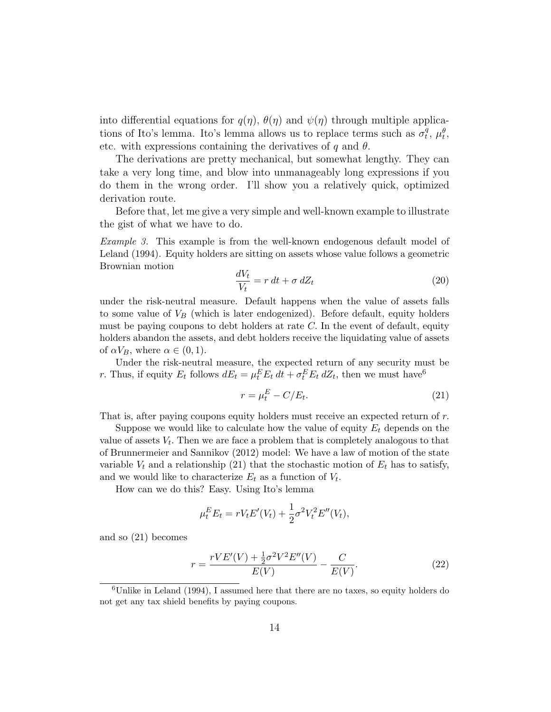into differential equations for  $q(\eta)$ ,  $\theta(\eta)$  and  $\psi(\eta)$  through multiple applications of Ito's lemma. Ito's lemma allows us to replace terms such as  $\sigma_t^q$  $_{t}^{q}, \mu_{t}^{\theta},$ etc. with expressions containing the derivatives of q and  $\theta$ .

The derivations are pretty mechanical, but somewhat lengthy. They can take a very long time, and blow into unmanageably long expressions if you do them in the wrong order. I'll show you a relatively quick, optimized derivation route.

Before that, let me give a very simple and well-known example to illustrate the gist of what we have to do.

Example 3. This example is from the well-known endogenous default model of Leland (1994). Equity holders are sitting on assets whose value follows a geometric Brownian motion

$$
\frac{dV_t}{V_t} = r \, dt + \sigma \, dZ_t \tag{20}
$$

under the risk-neutral measure. Default happens when the value of assets falls to some value of  $V_B$  (which is later endogenized). Before default, equity holders must be paying coupons to debt holders at rate  $C$ . In the event of default, equity holders abandon the assets, and debt holders receive the liquidating value of assets of  $\alpha V_B$ , where  $\alpha \in (0,1)$ .

Under the risk-neutral measure, the expected return of any security must be r. Thus, if equity  $E_t$  follows  $dE_t = \mu_t^E E_t dt + \sigma_t^E E_t dZ_t$ , then we must have<sup>6</sup>

$$
r = \mu_t^E - C/E_t. \tag{21}
$$

That is, after paying coupons equity holders must receive an expected return of r.

Suppose we would like to calculate how the value of equity  $E_t$  depends on the value of assets  $V_t$ . Then we are face a problem that is completely analogous to that of Brunnermeier and Sannikov (2012) model: We have a law of motion of the state variable  $V_t$  and a relationship (21) that the stochastic motion of  $E_t$  has to satisfy, and we would like to characterize  $E_t$  as a function of  $V_t$ .

How can we do this? Easy. Using Ito's lemma

$$
\mu_t^E E_t = r V_t E'(V_t) + \frac{1}{2} \sigma^2 V_t^2 E''(V_t),
$$

and so (21) becomes

$$
r = \frac{rVE'(V) + \frac{1}{2}\sigma^2 V^2 E''(V)}{E(V)} - \frac{C}{E(V)}.
$$
\n(22)

<sup>&</sup>lt;sup>6</sup>Unlike in Leland (1994), I assumed here that there are no taxes, so equity holders do not get any tax shield benefits by paying coupons.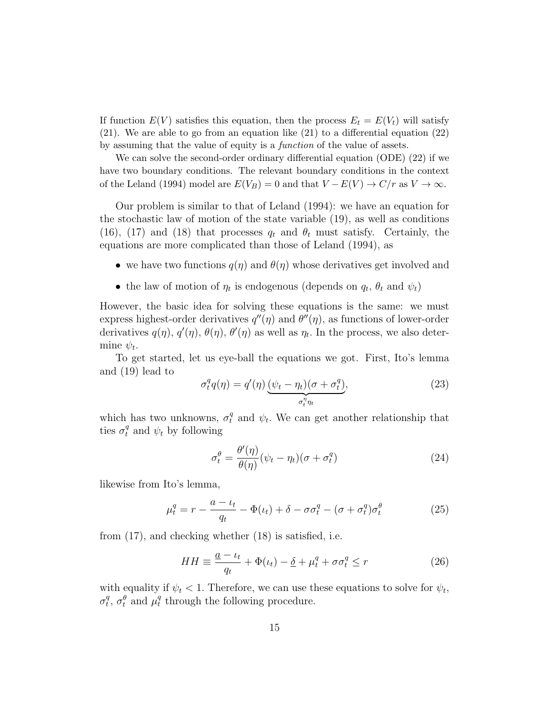If function  $E(V)$  satisfies this equation, then the process  $E_t = E(V_t)$  will satisfy (21). We are able to go from an equation like (21) to a differential equation (22) by assuming that the value of equity is a function of the value of assets.

We can solve the second-order ordinary differential equation (ODE) (22) if we have two boundary conditions. The relevant boundary conditions in the context of the Leland (1994) model are  $E(V_B) = 0$  and that  $V - E(V) \rightarrow C/r$  as  $V \rightarrow \infty$ .

Our problem is similar to that of Leland (1994): we have an equation for the stochastic law of motion of the state variable (19), as well as conditions (16), (17) and (18) that processes  $q_t$  and  $\theta_t$  must satisfy. Certainly, the equations are more complicated than those of Leland (1994), as

- we have two functions  $q(\eta)$  and  $\theta(\eta)$  whose derivatives get involved and
- the law of motion of  $\eta_t$  is endogenous (depends on  $q_t$ ,  $\theta_t$  and  $\psi_t$ )

However, the basic idea for solving these equations is the same: we must express highest-order derivatives  $q''(\eta)$  and  $\theta''(\eta)$ , as functions of lower-order derivatives  $q(\eta)$ ,  $q'(\eta)$ ,  $\theta(\eta)$ ,  $\theta'(\eta)$  as well as  $\eta_t$ . In the process, we also determine  $\psi_t$ .

To get started, let us eye-ball the equations we got. First, Ito's lemma and (19) lead to

$$
\sigma_t^q q(\eta) = q'(\eta) \underbrace{(\psi_t - \eta_t)(\sigma + \sigma_t^q)}_{\sigma_t^{\eta} \eta_t},
$$
\n(23)

which has two unknowns,  $\sigma_t^q$  and  $\psi_t$ . We can get another relationship that ties  $\sigma_t^q$  and  $\psi_t$  by following

$$
\sigma_t^{\theta} = \frac{\theta'(\eta)}{\theta(\eta)} (\psi_t - \eta_t)(\sigma + \sigma_t^q)
$$
\n(24)

likewise from Ito's lemma,

$$
\mu_t^q = r - \frac{a - \iota_t}{q_t} - \Phi(\iota_t) + \delta - \sigma \sigma_t^q - (\sigma + \sigma_t^q) \sigma_t^{\theta} \tag{25}
$$

from (17), and checking whether (18) is satisfied, i.e.

$$
HH \equiv \frac{a - \iota_t}{q_t} + \Phi(\iota_t) - \underline{\delta} + \mu_t^q + \sigma \sigma_t^q \le r \tag{26}
$$

with equality if  $\psi_t < 1$ . Therefore, we can use these equations to solve for  $\psi_t$ ,  $\sigma_t^q$  $t^q$ ,  $\sigma_t^{\theta}$  and  $\mu_t^{\theta}$  $_t^q$  through the following procedure.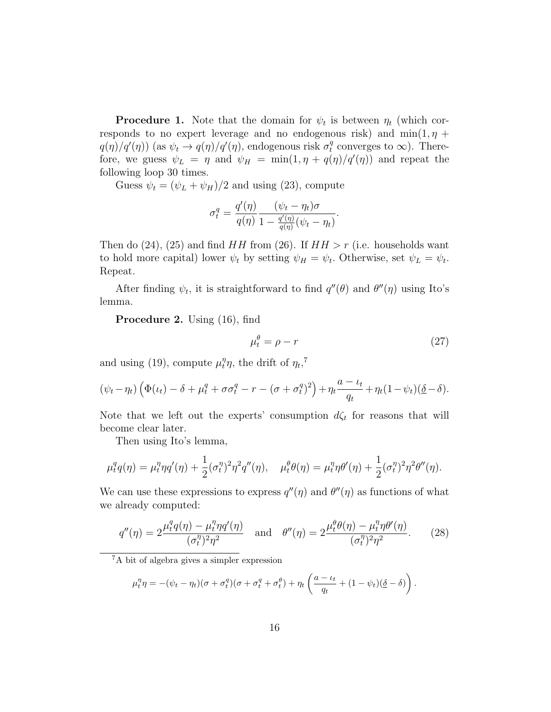**Procedure 1.** Note that the domain for  $\psi_t$  is between  $\eta_t$  (which corresponds to no expert leverage and no endogenous risk) and  $min(1, \eta +$  $q(\eta)/q'(\eta)$  (as  $\psi_t \to q(\eta)/q'(\eta)$ , endogenous risk  $\sigma_t^q$  converges to  $\infty$ ). Therefore, we guess  $\psi_L = \eta$  and  $\psi_H = \min(1, \eta + q(\eta)/q'(\eta))$  and repeat the following loop 30 times.

Guess  $\psi_t = (\psi_L + \psi_H)/2$  and using (23), compute

$$
\sigma_t^q = \frac{q'(\eta)}{q(\eta)} \frac{(\psi_t - \eta_t)\sigma}{1 - \frac{q'(\eta)}{q(\eta)}(\psi_t - \eta_t)}.
$$

Then do (24), (25) and find  $HH$  from (26). If  $HH > r$  (i.e. households want to hold more capital) lower  $\psi_t$  by setting  $\psi_H = \psi_t$ . Otherwise, set  $\psi_L = \psi_t$ . Repeat.

After finding  $\psi_t$ , it is straightforward to find  $q''(\theta)$  and  $\theta''(\eta)$  using Ito's lemma.

Procedure 2. Using (16), find

$$
\mu_t^{\theta} = \rho - r \tag{27}
$$

and using (19), compute  $\mu_t^{\eta} \eta$ , the drift of  $\eta_t$ ,<sup>7</sup>

$$
(\psi_t - \eta_t) \left( \Phi(t_t) - \delta + \mu_t^q + \sigma \sigma_t^q - r - (\sigma + \sigma_t^q)^2 \right) + \eta_t \frac{a - t_t}{q_t} + \eta_t (1 - \psi_t) (\underline{\delta} - \delta).
$$

Note that we left out the experts' consumption  $d\zeta_t$  for reasons that will become clear later.

Then using Ito's lemma,

$$
\mu_t^q q(\eta) = \mu_t^{\eta} \eta q'(\eta) + \frac{1}{2} (\sigma_t^{\eta})^2 \eta^2 q''(\eta), \quad \mu_t^{\theta} \theta(\eta) = \mu_t^{\eta} \eta \theta'(\eta) + \frac{1}{2} (\sigma_t^{\eta})^2 \eta^2 \theta''(\eta).
$$

We can use these expressions to express  $q''(\eta)$  and  $\theta''(\eta)$  as functions of what we already computed:

$$
q''(\eta) = 2\frac{\mu_t^q q(\eta) - \mu_t^{\eta} \eta q'(\eta)}{(\sigma_t^{\eta})^2 \eta^2} \quad \text{and} \quad \theta''(\eta) = 2\frac{\mu_t^{\theta} \theta(\eta) - \mu_t^{\eta} \eta \theta'(\eta)}{(\sigma_t^{\eta})^2 \eta^2}.
$$
 (28)

<sup>7</sup>A bit of algebra gives a simpler expression

$$
\mu_t^{\eta} \eta = -(\psi_t - \eta_t)(\sigma + \sigma_t^q)(\sigma + \sigma_t^q + \sigma_t^q) + \eta_t \left( \frac{a - \iota_t}{q_t} + (1 - \psi_t)(\underline{\delta} - \delta) \right).
$$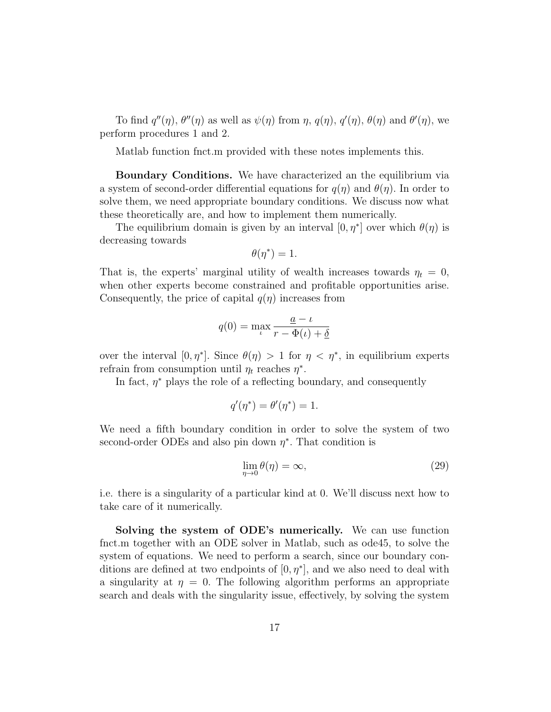To find  $q''(\eta)$ ,  $\theta''(\eta)$  as well as  $\psi(\eta)$  from  $\eta$ ,  $q(\eta)$ ,  $q'(\eta)$ ,  $\theta(\eta)$  and  $\theta'(\eta)$ , we perform procedures 1 and 2.

Matlab function fnct.m provided with these notes implements this.

Boundary Conditions. We have characterized an the equilibrium via a system of second-order differential equations for  $q(\eta)$  and  $\theta(\eta)$ . In order to solve them, we need appropriate boundary conditions. We discuss now what these theoretically are, and how to implement them numerically.

The equilibrium domain is given by an interval  $[0, \eta^*]$  over which  $\theta(\eta)$  is decreasing towards

$$
\theta(\eta^*)=1.
$$

That is, the experts' marginal utility of wealth increases towards  $\eta_t = 0$ , when other experts become constrained and profitable opportunities arise. Consequently, the price of capital  $q(\eta)$  increases from

$$
q(0) = \max_{\iota} \frac{\underline{a} - \iota}{r - \Phi(\iota) + \underline{\delta}}
$$

over the interval  $[0, \eta^*]$ . Since  $\theta(\eta) > 1$  for  $\eta < \eta^*$ , in equilibrium experts refrain from consumption until  $\eta_t$  reaches  $\eta^*$ .

In fact,  $\eta^*$  plays the role of a reflecting boundary, and consequently

$$
q'(\eta^*) = \theta'(\eta^*) = 1.
$$

We need a fifth boundary condition in order to solve the system of two second-order ODEs and also pin down  $\eta^*$ . That condition is

$$
\lim_{\eta \to 0} \theta(\eta) = \infty,\tag{29}
$$

i.e. there is a singularity of a particular kind at 0. We'll discuss next how to take care of it numerically.

Solving the system of ODE's numerically. We can use function fnct.m together with an ODE solver in Matlab, such as ode45, to solve the system of equations. We need to perform a search, since our boundary conditions are defined at two endpoints of  $[0, \eta^*]$ , and we also need to deal with a singularity at  $\eta = 0$ . The following algorithm performs an appropriate search and deals with the singularity issue, effectively, by solving the system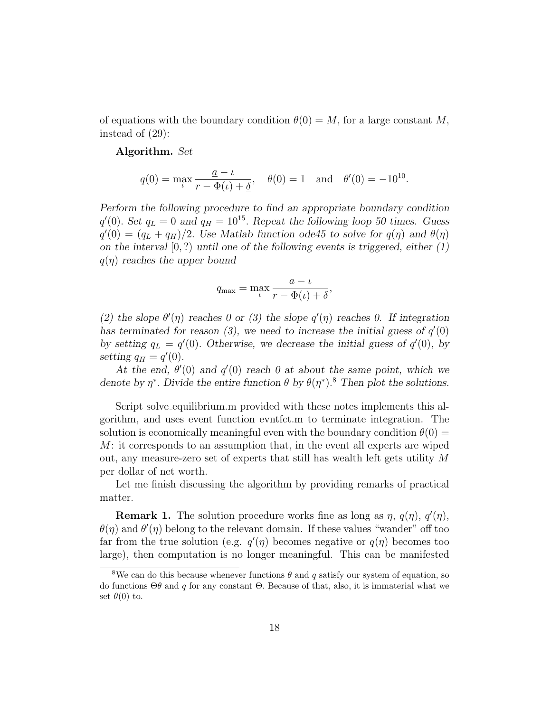of equations with the boundary condition  $\theta(0) = M$ , for a large constant M, instead of (29):

#### Algorithm. Set

$$
q(0) = \max_{\iota} \frac{a - \iota}{r - \Phi(\iota) + \underline{\delta}}, \quad \theta(0) = 1 \text{ and } \theta'(0) = -10^{10}.
$$

Perform the following procedure to find an appropriate boundary condition  $q'(0)$ . Set  $q_L = 0$  and  $q_H = 10^{15}$ . Repeat the following loop 50 times. Guess  $q'(0) = (q_L + q_H)/2$ . Use Matlab function ode45 to solve for  $q(\eta)$  and  $\theta(\eta)$ on the interval  $[0, ?)$  until one of the following events is triggered, either  $(1)$  $q(\eta)$  reaches the upper bound

$$
q_{\max} = \max_{\iota} \frac{a - \iota}{r - \Phi(\iota) + \delta},
$$

(2) the slope  $\theta'(\eta)$  reaches 0 or (3) the slope  $q'(\eta)$  reaches 0. If integration has terminated for reason (3), we need to increase the initial guess of  $q'(0)$ by setting  $q_L = q'(0)$ . Otherwise, we decrease the initial guess of  $q'(0)$ , by setting  $q_H = q'(0)$ .

At the end,  $\theta'(0)$  and  $q'(0)$  reach 0 at about the same point, which we denote by  $\eta^*$ . Divide the entire function  $\theta$  by  $\theta(\eta^*)$ .<sup>8</sup> Then plot the solutions.

Script solve equilibrium.m provided with these notes implements this algorithm, and uses event function evntfct.m to terminate integration. The solution is economically meaningful even with the boundary condition  $\theta(0)$  = M: it corresponds to an assumption that, in the event all experts are wiped out, any measure-zero set of experts that still has wealth left gets utility M per dollar of net worth.

Let me finish discussing the algorithm by providing remarks of practical matter.

**Remark 1.** The solution procedure works fine as long as  $\eta$ ,  $q(\eta)$ ,  $q'(\eta)$ ,  $\theta(\eta)$  and  $\theta'(\eta)$  belong to the relevant domain. If these values "wander" off too far from the true solution (e.g.  $q'(\eta)$  becomes negative or  $q(\eta)$  becomes too large), then computation is no longer meaningful. This can be manifested

<sup>&</sup>lt;sup>8</sup>We can do this because whenever functions  $\theta$  and q satisfy our system of equation, so do functions Θθ and q for any constant Θ. Because of that, also, it is immaterial what we set  $\theta(0)$  to.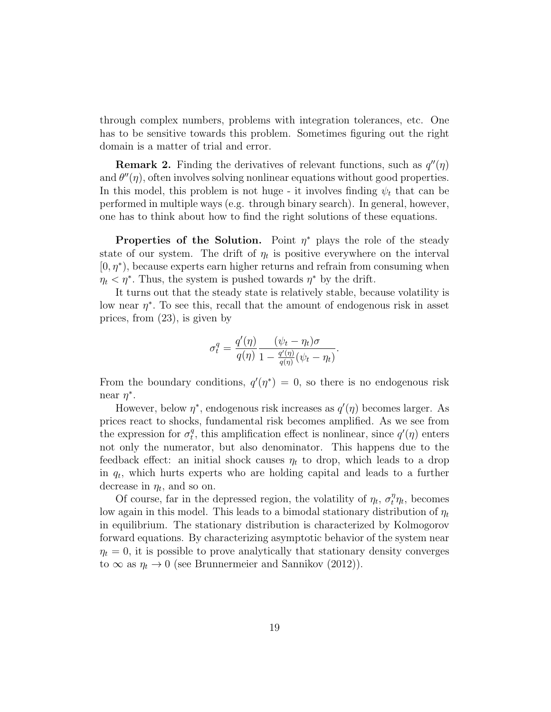through complex numbers, problems with integration tolerances, etc. One has to be sensitive towards this problem. Sometimes figuring out the right domain is a matter of trial and error.

**Remark 2.** Finding the derivatives of relevant functions, such as  $q''(\eta)$ and  $\theta''(\eta)$ , often involves solving nonlinear equations without good properties. In this model, this problem is not huge - it involves finding  $\psi_t$  that can be performed in multiple ways (e.g. through binary search). In general, however, one has to think about how to find the right solutions of these equations.

Properties of the Solution. Point  $\eta^*$  plays the role of the steady state of our system. The drift of  $\eta_t$  is positive everywhere on the interval  $[0, \eta^*)$ , because experts earn higher returns and refrain from consuming when  $\eta_t < \eta^*$ . Thus, the system is pushed towards  $\eta^*$  by the drift.

It turns out that the steady state is relatively stable, because volatility is low near  $\eta^*$ . To see this, recall that the amount of endogenous risk in asset prices, from (23), is given by

$$
\sigma_t^q = \frac{q'(\eta)}{q(\eta)} \frac{(\psi_t - \eta_t)\sigma}{1 - \frac{q'(\eta)}{q(\eta)}(\psi_t - \eta_t)}.
$$

From the boundary conditions,  $q'(\eta^*) = 0$ , so there is no endogenous risk near  $\eta^*$ .

However, below  $\eta^*$ , endogenous risk increases as  $q'(\eta)$  becomes larger. As prices react to shocks, fundamental risk becomes amplified. As we see from the expression for  $\sigma_t^q$  $t<sub>t</sub>$ , this amplification effect is nonlinear, since  $q'(\eta)$  enters not only the numerator, but also denominator. This happens due to the feedback effect: an initial shock causes  $\eta_t$  to drop, which leads to a drop in  $q_t$ , which hurts experts who are holding capital and leads to a further decrease in  $\eta_t$ , and so on.

Of course, far in the depressed region, the volatility of  $\eta_t$ ,  $\sigma_t^{\eta} \eta_t$ , becomes low again in this model. This leads to a bimodal stationary distribution of  $\eta_t$ in equilibrium. The stationary distribution is characterized by Kolmogorov forward equations. By characterizing asymptotic behavior of the system near  $\eta_t = 0$ , it is possible to prove analytically that stationary density converges to  $\infty$  as  $\eta_t \to 0$  (see Brunnermeier and Sannikov (2012)).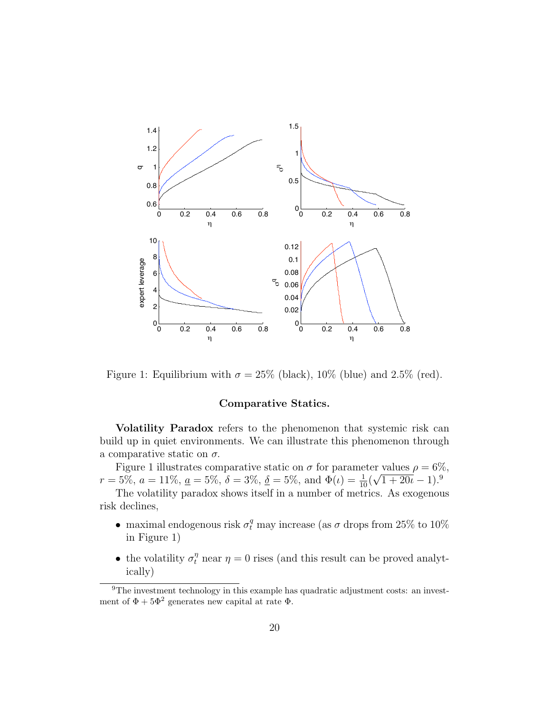

Figure 1: Equilibrium with  $\sigma = 25\%$  (black), 10% (blue) and 2.5% (red).

## Comparative Statics.

Volatility Paradox refers to the phenomenon that systemic risk can build up in quiet environments. We can illustrate this phenomenon through a comparative static on  $\sigma$ .

Figure 1 illustrates comparative static on  $\sigma$  for parameter values  $\rho = 6\%$ ,  $r = 5\%, a = 11\%, \underline{a} = 5\%, \delta = 3\%, \underline{\delta} = 5\%, \text{ and } \Phi(\iota) = \frac{1}{10}(\sqrt{1+20\iota}-1)^{9}$ 

The volatility paradox shows itself in a number of metrics. As exogenous risk declines,

- maximal endogenous risk  $\sigma_t^q$  may increase (as  $\sigma$  drops from 25% to 10%) in Figure 1)
- the volatility  $\sigma_t^{\eta}$  near  $\eta = 0$  rises (and this result can be proved analytically)

<sup>&</sup>lt;sup>9</sup>The investment technology in this example has quadratic adjustment costs: an investment of  $\Phi + 5\Phi^2$  generates new capital at rate  $\Phi$ .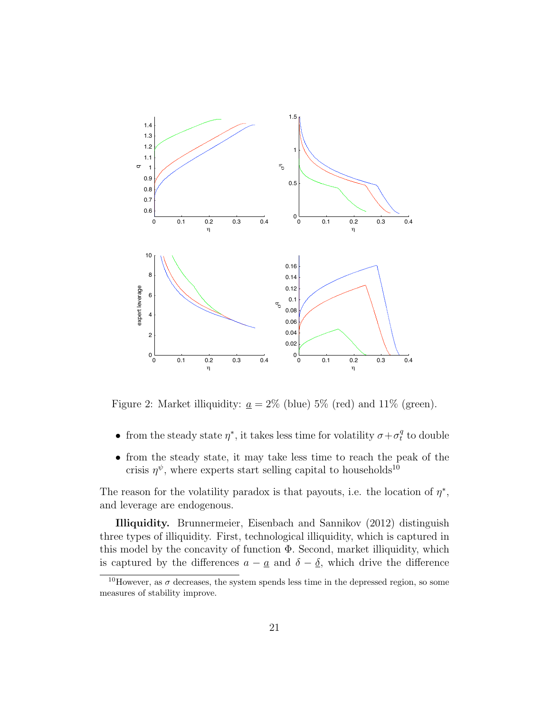

Figure 2: Market illiquidity:  $\underline{a} = 2\%$  (blue) 5% (red) and 11% (green).

- from the steady state  $\eta^*$ , it takes less time for volatility  $\sigma + \sigma_t^q$  $_t^q$  to double
- from the steady state, it may take less time to reach the peak of the crisis  $\eta^{\psi}$ , where experts start selling capital to households<sup>10</sup>

The reason for the volatility paradox is that payouts, i.e. the location of  $\eta^*$ , and leverage are endogenous.

Illiquidity. Brunnermeier, Eisenbach and Sannikov (2012) distinguish three types of illiquidity. First, technological illiquidity, which is captured in this model by the concavity of function Φ. Second, market illiquidity, which is captured by the differences  $a - \underline{a}$  and  $\delta - \underline{\delta}$ , which drive the difference

<sup>&</sup>lt;sup>10</sup>However, as  $\sigma$  decreases, the system spends less time in the depressed region, so some measures of stability improve.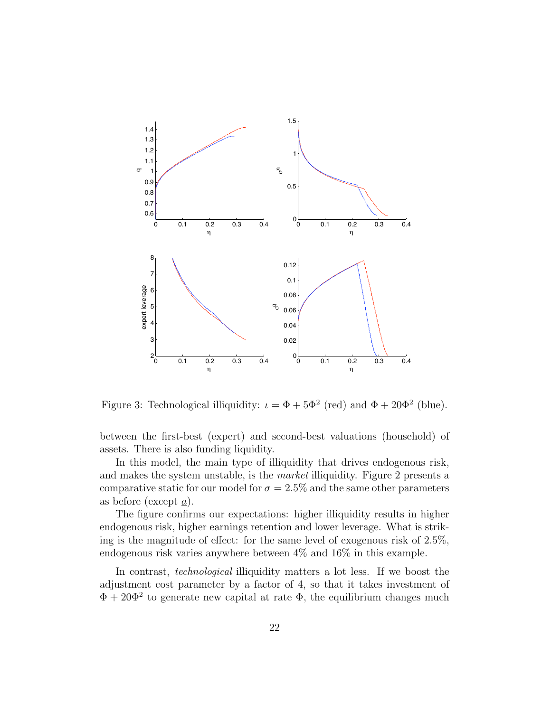

Figure 3: Technological illiquidity:  $\iota = \Phi + 5\Phi^2$  (red) and  $\Phi + 20\Phi^2$  (blue).

between the first-best (expert) and second-best valuations (household) of assets. There is also funding liquidity.

In this model, the main type of illiquidity that drives endogenous risk, and makes the system unstable, is the market illiquidity. Figure 2 presents a comparative static for our model for  $\sigma = 2.5\%$  and the same other parameters as before (except a).

The figure confirms our expectations: higher illiquidity results in higher endogenous risk, higher earnings retention and lower leverage. What is striking is the magnitude of effect: for the same level of exogenous risk of 2.5%, endogenous risk varies anywhere between 4% and 16% in this example.

In contrast, *technological* illiquidity matters a lot less. If we boost the adjustment cost parameter by a factor of 4, so that it takes investment of  $\Phi + 20\Phi^2$  to generate new capital at rate  $\Phi$ , the equilibrium changes much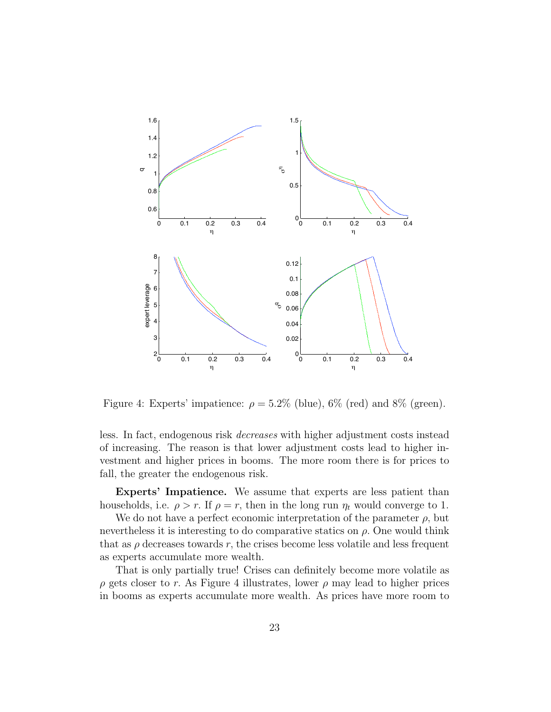

Figure 4: Experts' impatience:  $\rho = 5.2\%$  (blue), 6% (red) and 8% (green).

less. In fact, endogenous risk decreases with higher adjustment costs instead of increasing. The reason is that lower adjustment costs lead to higher investment and higher prices in booms. The more room there is for prices to fall, the greater the endogenous risk.

Experts' Impatience. We assume that experts are less patient than households, i.e.  $\rho > r$ . If  $\rho = r$ , then in the long run  $\eta_t$  would converge to 1.

We do not have a perfect economic interpretation of the parameter  $\rho$ , but nevertheless it is interesting to do comparative statics on  $\rho$ . One would think that as  $\rho$  decreases towards r, the crises become less volatile and less frequent as experts accumulate more wealth.

That is only partially true! Crises can definitely become more volatile as  $\rho$  gets closer to r. As Figure 4 illustrates, lower  $\rho$  may lead to higher prices in booms as experts accumulate more wealth. As prices have more room to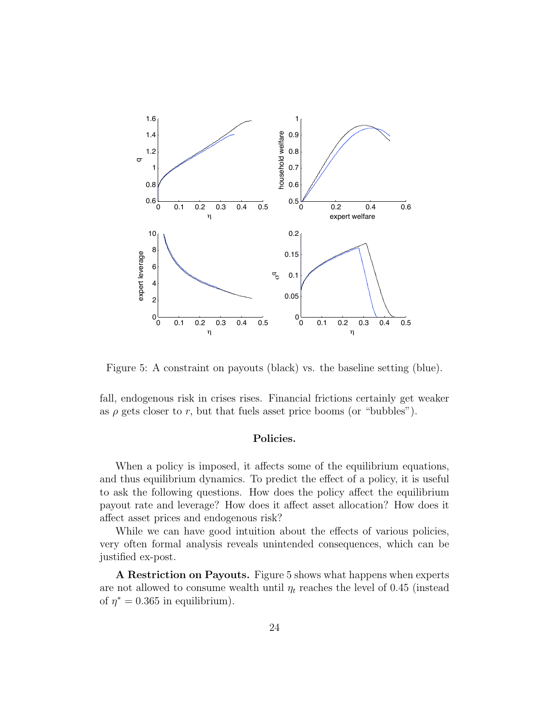

Figure 5: A constraint on payouts (black) vs. the baseline setting (blue).

fall, endogenous risk in crises rises. Financial frictions certainly get weaker as  $\rho$  gets closer to r, but that fuels asset price booms (or "bubbles").

## Policies.

When a policy is imposed, it affects some of the equilibrium equations, and thus equilibrium dynamics. To predict the effect of a policy, it is useful to ask the following questions. How does the policy affect the equilibrium payout rate and leverage? How does it affect asset allocation? How does it affect asset prices and endogenous risk?

While we can have good intuition about the effects of various policies, very often formal analysis reveals unintended consequences, which can be justified ex-post.

A Restriction on Payouts. Figure 5 shows what happens when experts are not allowed to consume wealth until  $\eta_t$  reaches the level of 0.45 (instead of  $\eta^* = 0.365$  in equilibrium).